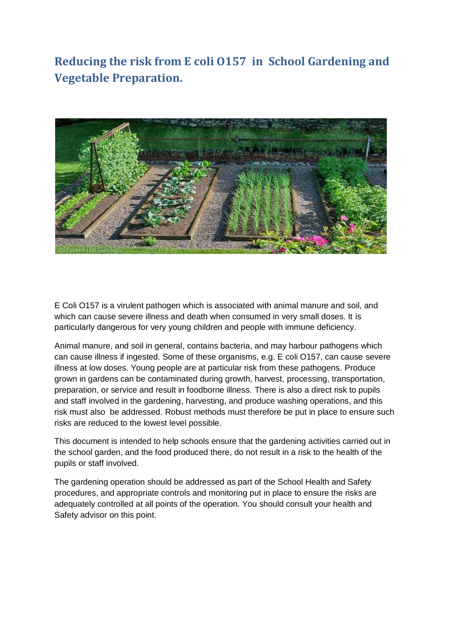**Reducing the risk from E coli O157 in School Gardening and Vegetable Preparation.**



E Coli O157 is a virulent pathogen which is associated with animal manure and soil, and which can cause severe illness and death when consumed in very small doses. It is particularly dangerous for very young children and people with immune deficiency.

Animal manure, and soil in general, contains bacteria, and may harbour pathogens which can cause illness if ingested. Some of these organisms, e.g. E coli O157, can cause severe illness at low doses. Young people are at particular risk from these pathogens. Produce grown in gardens can be contaminated during growth, harvest, processing, transportation, preparation, or service and result in foodborne illness. There is also a direct risk to pupils and staff involved in the gardening, harvesting, and produce washing operations, and this risk must also be addressed. Robust methods must therefore be put in place to ensure such risks are reduced to the lowest level possible.

This document is intended to help schools ensure that the gardening activities carried out in the school garden, and the food produced there, do not result in a risk to the health of the pupils or staff involved.

The gardening operation should be addressed as part of the School Health and Safety procedures, and appropriate controls and monitoring put in place to ensure the risks are adequately controlled at all points of the operation. You should consult your health and Safety advisor on this point.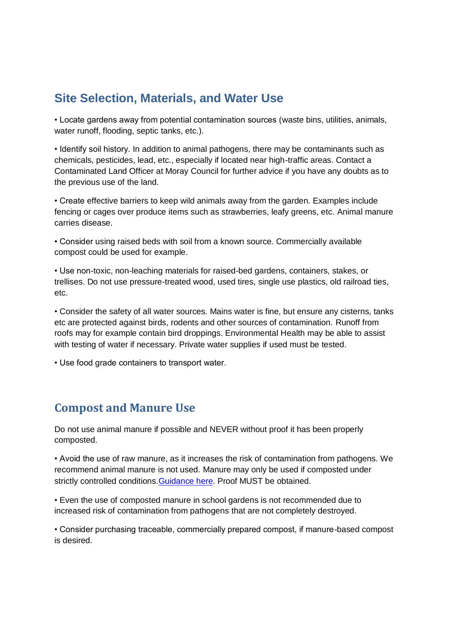## **Site Selection, Materials, and Water Use**

• Locate gardens away from potential contamination sources (waste bins, utilities, animals, water runoff, flooding, septic tanks, etc.).

• Identify soil history. In addition to animal pathogens, there may be contaminants such as chemicals, pesticides, lead, etc., especially if located near high-traffic areas. Contact a Contaminated Land Officer at Moray Council for further advice if you have any doubts as to the previous use of the land.

• Create effective barriers to keep wild animals away from the garden. Examples include fencing or cages over produce items such as strawberries, leafy greens, etc. Animal manure carries disease.

• Consider using raised beds with soil from a known source. Commercially available compost could be used for example.

• Use non-toxic, non-leaching materials for raised-bed gardens, containers, stakes, or trellises. Do not use pressure-treated wood, used tires, single use plastics, old railroad ties, etc.

• Consider the safety of all water sources. Mains water is fine, but ensure any cisterns, tanks etc are protected against birds, rodents and other sources of contamination. Runoff from roofs may for example contain bird droppings. Environmental Health may be able to assist with testing of water if necessary. Private water supplies if used must be tested.

• Use food grade containers to transport water.

## **Compost and Manure Use**

Do not use animal manure if possible and NEVER without proof it has been properly composted.

• Avoid the use of raw manure, as it increases the risk of contamination from pathogens. We recommend animal manure is not used. Manure may only be used if composted under strictly controlled conditions. Guidance here. Proof MUST be obtained.

• Even the use of composted manure in school gardens is not recommended due to increased risk of contamination from pathogens that are not completely destroyed.

• Consider purchasing traceable, commercially prepared compost, if manure-based compost is desired.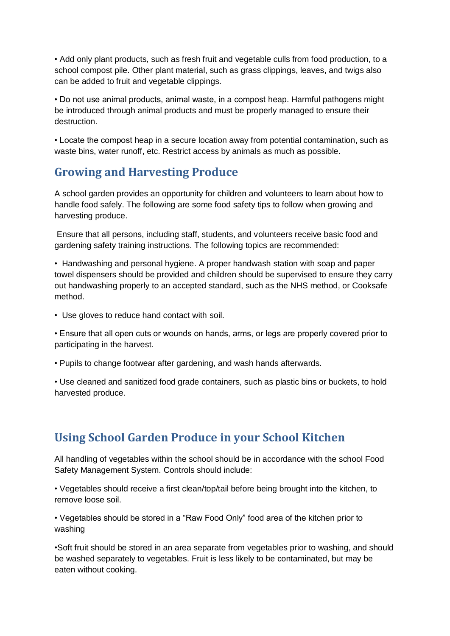• Add only plant products, such as fresh fruit and vegetable culls from food production, to a school compost pile. Other plant material, such as grass clippings, leaves, and twigs also can be added to fruit and vegetable clippings.

• Do not use animal products, animal waste, in a compost heap. Harmful pathogens might be introduced through animal products and must be properly managed to ensure their destruction.

• Locate the compost heap in a secure location away from potential contamination, such as waste bins, water runoff, etc. Restrict access by animals as much as possible.

## **Growing and Harvesting Produce**

A school garden provides an opportunity for children and volunteers to learn about how to handle food safely. The following are some food safety tips to follow when growing and harvesting produce.

Ensure that all persons, including staff, students, and volunteers receive basic food and gardening safety training instructions. The following topics are recommended:

• Handwashing and personal hygiene. A proper handwash station with soap and paper towel dispensers should be provided and children should be supervised to ensure they carry out handwashing properly to an accepted standard, such as the NHS method, or Cooksafe method.

• Use gloves to reduce hand contact with soil.

• Ensure that all open cuts or wounds on hands, arms, or legs are properly covered prior to participating in the harvest.

• Pupils to change footwear after gardening, and wash hands afterwards.

• Use cleaned and sanitized food grade containers, such as plastic bins or buckets, to hold harvested produce.

## **Using School Garden Produce in your School Kitchen**

All handling of vegetables within the school should be in accordance with the school Food Safety Management System. Controls should include:

• Vegetables should receive a first clean/top/tail before being brought into the kitchen, to remove loose soil.

• Vegetables should be stored in a "Raw Food Only" food area of the kitchen prior to washing

•Soft fruit should be stored in an area separate from vegetables prior to washing, and should be washed separately to vegetables. Fruit is less likely to be contaminated, but may be eaten without cooking.